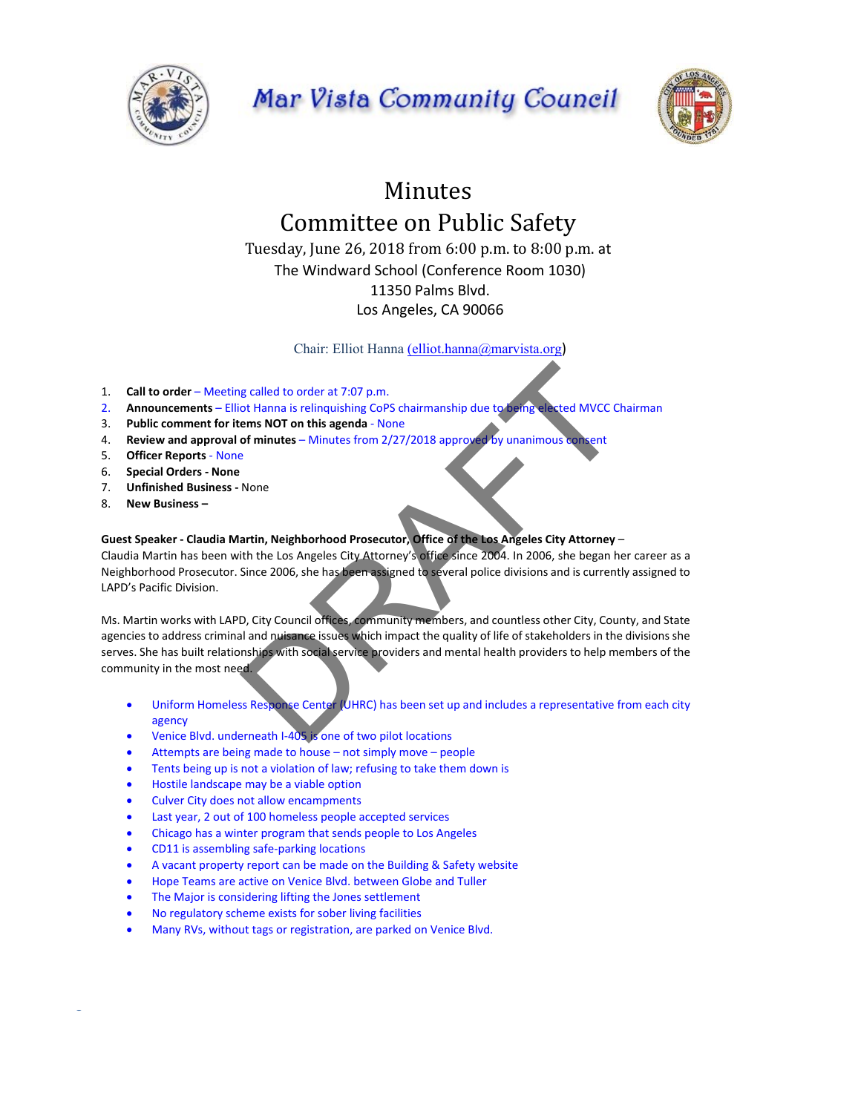

## Mar Vista Community Council



## Minutes Committee on Public Safety

Tuesday, June 26, 2018 from 6:00 p.m. to 8:00 p.m. at The Windward School (Conference Room 1030) 11350 Palms Blvd. Los Angeles, CA 90066

Chair: Elliot Hanna (elliot.hanna@marvista.org)

- 1. **Call to order**  Meeting called to order at 7:07 p.m.
- 2. **Announcements**  Elliot Hanna is relinquishing CoPS chairmanship due to being elected MVCC Chairman
- 3. **Public comment for items NOT on this agenda** ‐ None
- 4. **Review and approval of minutes**  Minutes from 2/27/2018 approved by unanimous consent
- 5. **Officer Reports** ‐ None
- 6. **Special Orders ‐ None**
- 7. **Unfinished Business ‐** None
- 8. **New Business**

S

## **Guest Speaker ‐ Claudia Martin, Neighborhood Prosecutor, Office of the Los Angeles City Attorney** –

Claudia Martin has been with the Los Angeles City Attorney's office since 2004. In 2006, she began her career as a Neighborhood Prosecutor. Since 2006, she has been assigned to several police divisions and is currently assigned to LAPD's Pacific Division.

Ms. Martin works with LAPD, City Council offices, community members, and countless other City, County, and State agencies to address criminal and nuisance issues which impact the quality of life of stakeholders in the divisions she serves. She has built relationships with social service providers and mental health providers to help members of the community in the most need. g called to order at 7:07 p.m.<br>
ot Hanna is relinquishing CoPS chairmanship due to being elected MVCC Ci<br>
ems NOT on this agenda - None<br>
of minutes – Minutes from 2/27/2018 approved by unanimous consent<br>
a<br>
P<br>
None<br>
a<br>
art

- Uniform Homeless Response Center (UHRC) has been set up and includes a representative from each city agency
- Venice Blvd. underneath I‐405 is one of two pilot locations
- Attempts are being made to house not simply move people
- Tents being up is not a violation of law; refusing to take them down is
- Hostile landscape may be a viable option
- Culver City does not allow encampments
- Last year, 2 out of 100 homeless people accepted services
- Chicago has a winter program that sends people to Los Angeles
- CD11 is assembling safe‐parking locations
- A vacant property report can be made on the Building & Safety website
- Hope Teams are active on Venice Blvd. between Globe and Tuller
- The Major is considering lifting the Jones settlement
- No regulatory scheme exists for sober living facilities
- Many RVs, without tags or registration, are parked on Venice Blvd.